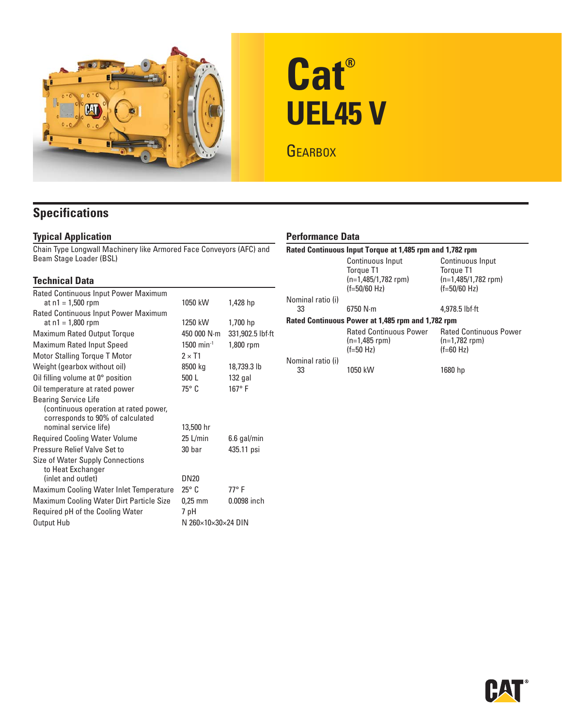

# **Cat® UEL45 V**

**GEARBOX** 

## **Specifications**

## **Typical Application**

Chain Type Longwall Machinery like Armored Face Conveyors (AFC) and Beam Stage Loader (BSL)

## **Technical Data**

| Rated Continuous Input Power Maximum     |                                       |                  |
|------------------------------------------|---------------------------------------|------------------|
| at $n1 = 1,500$ rpm                      | 1050 kW                               | 1,428 hp         |
| Rated Continuous Input Power Maximum     |                                       |                  |
| at $n1 = 1,800$ rpm                      | 1250 kW                               | 1,700 hp         |
| Maximum Rated Output Torque              | 450 000 N·m                           | 331,902.5 lbf.ft |
| <b>Maximum Rated Input Speed</b>         | $1500$ min <sup>-1</sup><br>1,800 rpm |                  |
| <b>Motor Stalling Torque T Motor</b>     | $2 \times T1$                         |                  |
| Weight (gearbox without oil)             | 8500 kg                               | 18,739.3 lb      |
| Oil filling volume at $0^\circ$ position | 500 L                                 | $132$ gal        |
| Oil temperature at rated power           | $75^{\circ}$ C                        | $167^\circ$ F    |
| <b>Bearing Service Life</b>              |                                       |                  |
| (continuous operation at rated power,    |                                       |                  |
| corresponds to 90% of calculated         |                                       |                  |
| nominal service life)                    | 13,500 hr                             |                  |
| <b>Required Cooling Water Volume</b>     | 25 L/min                              | $6.6$ gal/min    |
| Pressure Relief Valve Set to             | 30 bar                                | 435.11 psi       |
| Size of Water Supply Connections         |                                       |                  |
| to Heat Exchanger                        |                                       |                  |
| (inlet and outlet)                       | <b>DN20</b>                           |                  |
| Maximum Cooling Water Inlet Temperature  | $25^{\circ}$ C                        | 77° F            |
| Maximum Cooling Water Dirt Particle Size | $0.25$ mm                             | 0.0098 inch      |
| Required pH of the Cooling Water         | 7 pH                                  |                  |
| Output Hub                               | N 260×10×30×24 DIN                    |                  |

## **Performance Data**

| Rated Continuous Input Torque at 1,485 rpm and 1,782 rpm |                                                                          |                                                                          |  |  |  |  |
|----------------------------------------------------------|--------------------------------------------------------------------------|--------------------------------------------------------------------------|--|--|--|--|
|                                                          | Continuous Input<br>Torgue T1<br>$(n=1,485/1,782$ rpm)<br>$(f=50/60$ Hz) | Continuous Input<br>Torque T1<br>$(n=1,485/1,782$ rpm)<br>$(f=50/60$ Hz) |  |  |  |  |
| Nominal ratio (i)                                        |                                                                          |                                                                          |  |  |  |  |
| 33                                                       | 6750 N·m                                                                 | $4.978.5$ lbf $\cdot$ ft                                                 |  |  |  |  |
| Rated Continuous Power at 1,485 rpm and 1,782 rpm        |                                                                          |                                                                          |  |  |  |  |
|                                                          | <b>Rated Continuous Power</b><br>$(n=1,485$ rpm)<br>$(f=50 Hz)$          | <b>Rated Continuous Power</b><br>$(n=1,782$ rpm)<br>$(f=60 Hz)$          |  |  |  |  |
| Nominal ratio (i)<br>33                                  | 1050 kW                                                                  | 1680 hp                                                                  |  |  |  |  |

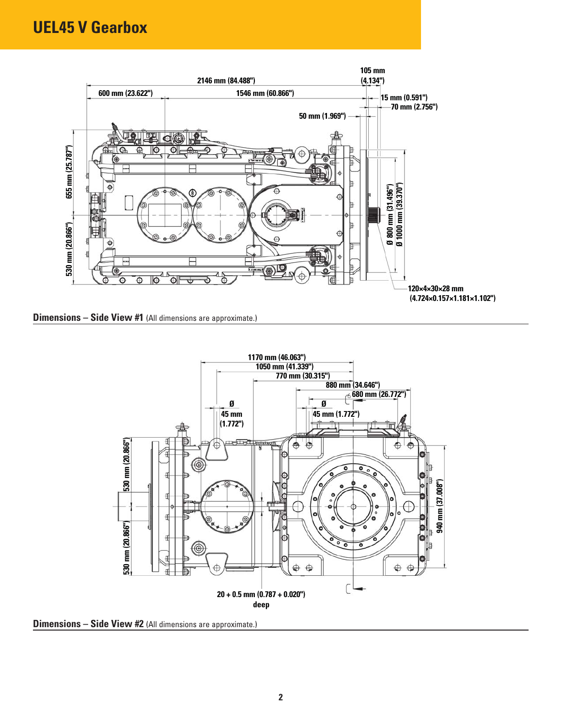

**Dimensions – Side View #1** (All dimensions are approximate.)



**Dimensions – Side View #2** (All dimensions are approximate.)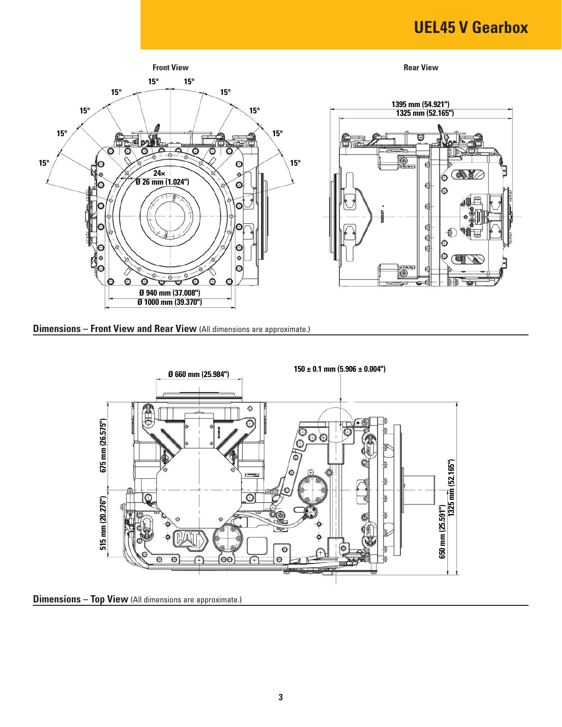# **UEL45 V Gearbox**



**Dimensions – Front View and Rear View** (All dimensions are approximate.)



**Dimensions – Top View** (All dimensions are approximate.)